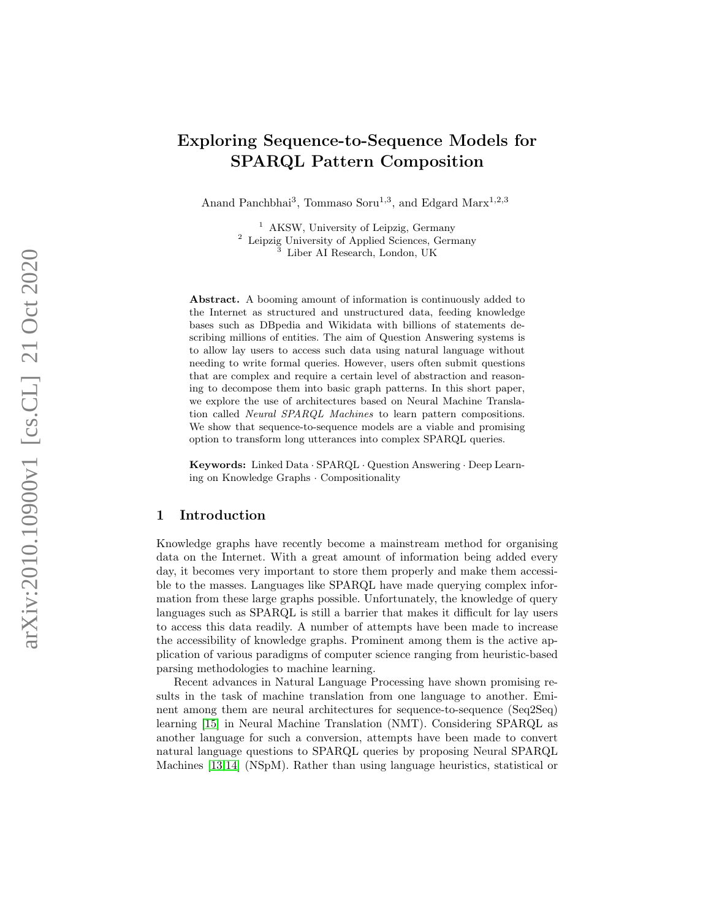# Exploring Sequence-to-Sequence Models for SPARQL Pattern Composition

Anand Panchbhai<sup>3</sup>, Tommaso Soru<sup>1,3</sup>, and Edgard Marx<sup>1,2,3</sup>

<sup>1</sup> AKSW, University of Leipzig, Germany <sup>2</sup> Leipzig University of Applied Sciences, Germany <sup>3</sup> Liber AI Research, London, UK

Abstract. A booming amount of information is continuously added to the Internet as structured and unstructured data, feeding knowledge bases such as DBpedia and Wikidata with billions of statements describing millions of entities. The aim of Question Answering systems is to allow lay users to access such data using natural language without needing to write formal queries. However, users often submit questions that are complex and require a certain level of abstraction and reasoning to decompose them into basic graph patterns. In this short paper, we explore the use of architectures based on Neural Machine Translation called Neural SPARQL Machines to learn pattern compositions. We show that sequence-to-sequence models are a viable and promising option to transform long utterances into complex SPARQL queries.

Keywords: Linked Data · SPARQL · Question Answering · Deep Learning on Knowledge Graphs · Compositionality

# 1 Introduction

Knowledge graphs have recently become a mainstream method for organising data on the Internet. With a great amount of information being added every day, it becomes very important to store them properly and make them accessible to the masses. Languages like SPARQL have made querying complex information from these large graphs possible. Unfortunately, the knowledge of query languages such as SPARQL is still a barrier that makes it difficult for lay users to access this data readily. A number of attempts have been made to increase the accessibility of knowledge graphs. Prominent among them is the active application of various paradigms of computer science ranging from heuristic-based parsing methodologies to machine learning.

Recent advances in Natural Language Processing have shown promising results in the task of machine translation from one language to another. Eminent among them are neural architectures for sequence-to-sequence (Seq2Seq) learning [\[15\]](#page-7-0) in Neural Machine Translation (NMT). Considering SPARQL as another language for such a conversion, attempts have been made to convert natural language questions to SPARQL queries by proposing Neural SPARQL Machines [\[13,](#page-7-1)[14\]](#page-7-2) (NSpM). Rather than using language heuristics, statistical or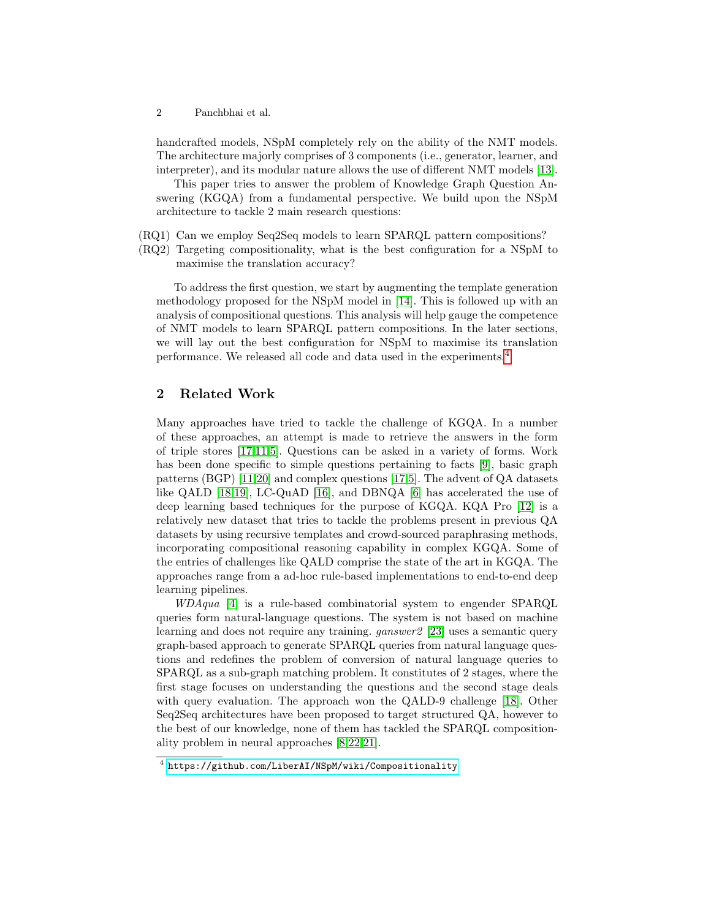2 Panchbhai et al.

handcrafted models, NSpM completely rely on the ability of the NMT models. The architecture majorly comprises of 3 components (i.e., generator, learner, and interpreter), and its modular nature allows the use of different NMT models [\[13\]](#page-7-1).

This paper tries to answer the problem of Knowledge Graph Question Answering (KGQA) from a fundamental perspective. We build upon the NSpM architecture to tackle 2 main research questions:

(RQ1) Can we employ Seq2Seq models to learn SPARQL pattern compositions?

(RQ2) Targeting compositionality, what is the best configuration for a NSpM to maximise the translation accuracy?

To address the first question, we start by augmenting the template generation methodology proposed for the NSpM model in [\[14\]](#page-7-2). This is followed up with an analysis of compositional questions. This analysis will help gauge the competence of NMT models to learn SPARQL pattern compositions. In the later sections, we will lay out the best configuration for NSpM to maximise its translation performance. We released all code and data used in the experiments.[4](#page-1-0)

## 2 Related Work

Many approaches have tried to tackle the challenge of KGQA. In a number of these approaches, an attempt is made to retrieve the answers in the form of triple stores [\[17,](#page-7-3)[11,](#page-7-4)[5\]](#page-7-5). Questions can be asked in a variety of forms. Work has been done specific to simple questions pertaining to facts [\[9\]](#page-7-6), basic graph patterns (BGP) [\[11](#page-7-4)[,20\]](#page-7-7) and complex questions [\[17,](#page-7-3)[5\]](#page-7-5). The advent of QA datasets like QALD [\[18,](#page-7-8)[19\]](#page-7-9), LC-QuAD [\[16\]](#page-7-10), and DBNQA [\[6\]](#page-7-11) has accelerated the use of deep learning based techniques for the purpose of KGQA. KQA Pro [\[12\]](#page-7-12) is a relatively new dataset that tries to tackle the problems present in previous QA datasets by using recursive templates and crowd-sourced paraphrasing methods, incorporating compositional reasoning capability in complex KGQA. Some of the entries of challenges like QALD comprise the state of the art in KGQA. The approaches range from a ad-hoc rule-based implementations to end-to-end deep learning pipelines.

WDAqua [\[4\]](#page-6-0) is a rule-based combinatorial system to engender SPARQL queries form natural-language questions. The system is not based on machine learning and does not require any training. ganswer2 [\[23\]](#page-7-13) uses a semantic query graph-based approach to generate SPARQL queries from natural language questions and redefines the problem of conversion of natural language queries to SPARQL as a sub-graph matching problem. It constitutes of 2 stages, where the first stage focuses on understanding the questions and the second stage deals with query evaluation. The approach won the QALD-9 challenge [\[18\]](#page-7-8). Other Seq2Seq architectures have been proposed to target structured QA, however to the best of our knowledge, none of them has tackled the SPARQL compositionality problem in neural approaches [\[8](#page-7-14)[,22,](#page-7-15)[21\]](#page-7-16).

<span id="page-1-0"></span><sup>4</sup> <https://github.com/LiberAI/NSpM/wiki/Compositionality>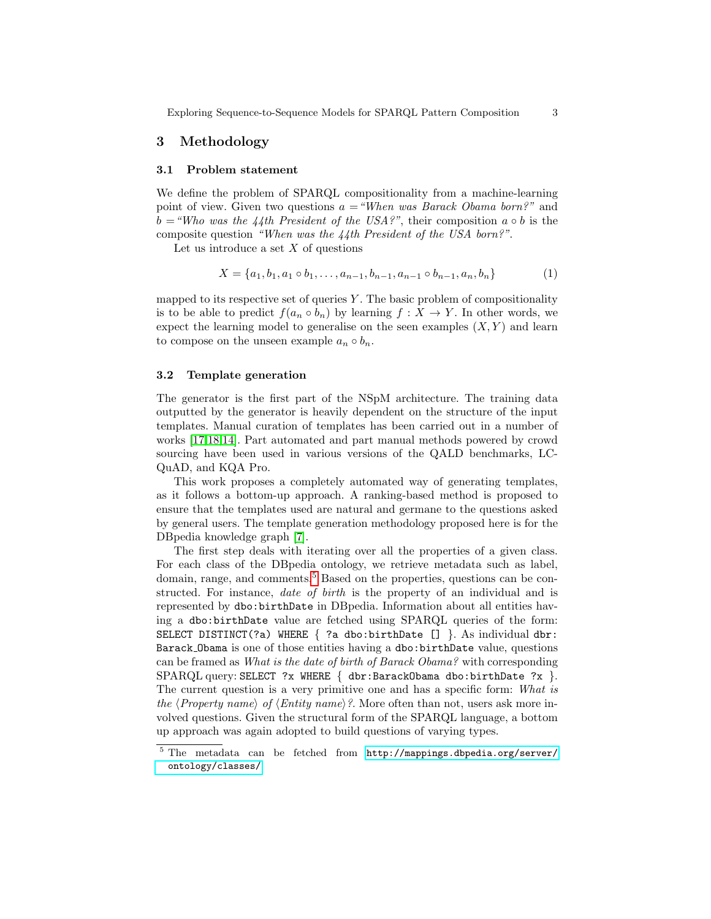# 3 Methodology

### 3.1 Problem statement

We define the problem of SPARQL compositionality from a machine-learning point of view. Given two questions  $a = "When was Barack Obama born?"$  and  $b = "Who was the 44th President of the USA?", their composition  $a \circ b$  is the$ composite question "When was the 44th President of the USA born?".

Let us introduce a set  $X$  of questions

$$
X = \{a_1, b_1, a_1 \circ b_1, \dots, a_{n-1}, b_{n-1}, a_{n-1} \circ b_{n-1}, a_n, b_n\} \tag{1}
$$

mapped to its respective set of queries  $Y$ . The basic problem of compositionality is to be able to predict  $f(a_n \circ b_n)$  by learning  $f : X \to Y$ . In other words, we expect the learning model to generalise on the seen examples  $(X, Y)$  and learn to compose on the unseen example  $a_n \circ b_n$ .

## 3.2 Template generation

The generator is the first part of the NSpM architecture. The training data outputted by the generator is heavily dependent on the structure of the input templates. Manual curation of templates has been carried out in a number of works [\[17,](#page-7-3)[18,](#page-7-8)[14\]](#page-7-2). Part automated and part manual methods powered by crowd sourcing have been used in various versions of the QALD benchmarks, LC-QuAD, and KQA Pro.

This work proposes a completely automated way of generating templates, as it follows a bottom-up approach. A ranking-based method is proposed to ensure that the templates used are natural and germane to the questions asked by general users. The template generation methodology proposed here is for the DBpedia knowledge graph [\[7\]](#page-7-17).

The first step deals with iterating over all the properties of a given class. For each class of the DBpedia ontology, we retrieve metadata such as label, domain, range, and comments.[5](#page-2-0) Based on the properties, questions can be constructed. For instance, *date of birth* is the property of an individual and is represented by dbo:birthDate in DBpedia. Information about all entities having a dbo:birthDate value are fetched using SPARQL queries of the form: SELECT DISTINCT(?a) WHERE { ?a dbo:birthDate [] }. As individual dbr: Barack Obama is one of those entities having a dbo:birthDate value, questions can be framed as What is the date of birth of Barack Obama? with corresponding SPARQL query: SELECT ?x WHERE { dbr:BarackObama dbo:birthDate ?x }. The current question is a very primitive one and has a specific form: What is the  $\langle Property \ name \rangle$  of  $\langle Entity \ name \rangle$ ?. More often than not, users ask more involved questions. Given the structural form of the SPARQL language, a bottom up approach was again adopted to build questions of varying types.

<span id="page-2-0"></span><sup>5</sup> The metadata can be fetched from [http://mappings.dbpedia.org/server/](http://mappings.dbpedia.org/server/ontology/classes/) [ontology/classes/](http://mappings.dbpedia.org/server/ontology/classes/).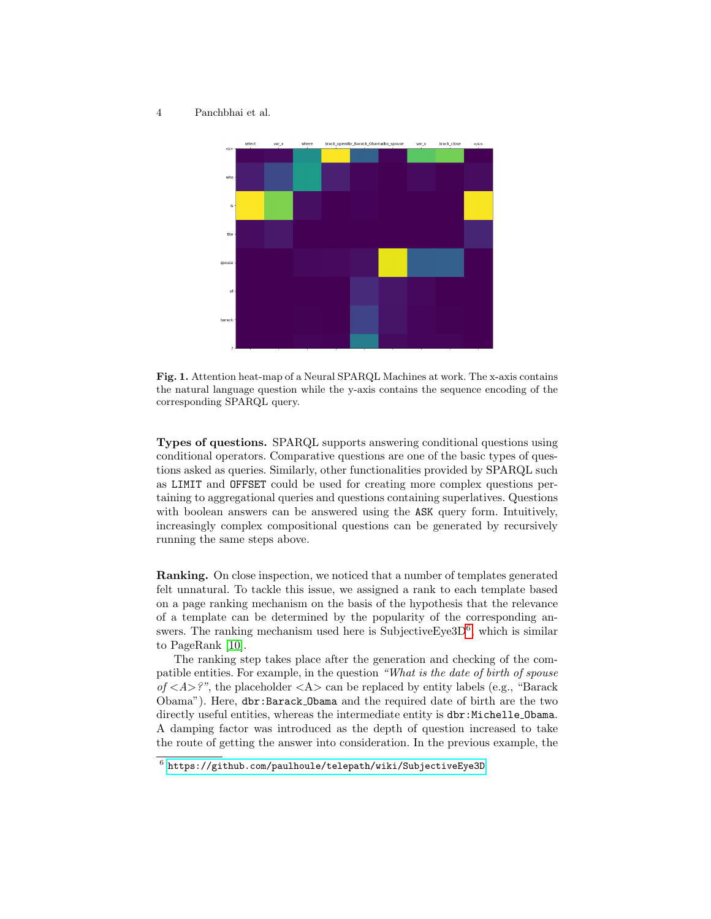#### 4 Panchbhai et al.



<span id="page-3-1"></span>Fig. 1. Attention heat-map of a Neural SPARQL Machines at work. The x-axis contains the natural language question while the y-axis contains the sequence encoding of the corresponding SPARQL query.

Types of questions. SPARQL supports answering conditional questions using conditional operators. Comparative questions are one of the basic types of questions asked as queries. Similarly, other functionalities provided by SPARQL such as LIMIT and OFFSET could be used for creating more complex questions pertaining to aggregational queries and questions containing superlatives. Questions with boolean answers can be answered using the ASK query form. Intuitively, increasingly complex compositional questions can be generated by recursively running the same steps above.

Ranking. On close inspection, we noticed that a number of templates generated felt unnatural. To tackle this issue, we assigned a rank to each template based on a page ranking mechanism on the basis of the hypothesis that the relevance of a template can be determined by the popularity of the corresponding an-swers. The ranking mechanism used here is Subjective Eye3D<sup>[6](#page-3-0)</sup>, which is similar to PageRank [\[10\]](#page-7-18).

The ranking step takes place after the generation and checking of the compatible entities. For example, in the question "What is the date of birth of spouse of  $\langle A \rangle$ ?", the placeholder  $\langle A \rangle$  can be replaced by entity labels (e.g., "Barack") Obama"). Here, dbr:Barack Obama and the required date of birth are the two directly useful entities, whereas the intermediate entity is  $dbr$ :Michelle\_Obama. A damping factor was introduced as the depth of question increased to take the route of getting the answer into consideration. In the previous example, the

<span id="page-3-0"></span> $^6$  <https://github.com/paulhoule/telepath/wiki/SubjectiveEye3D>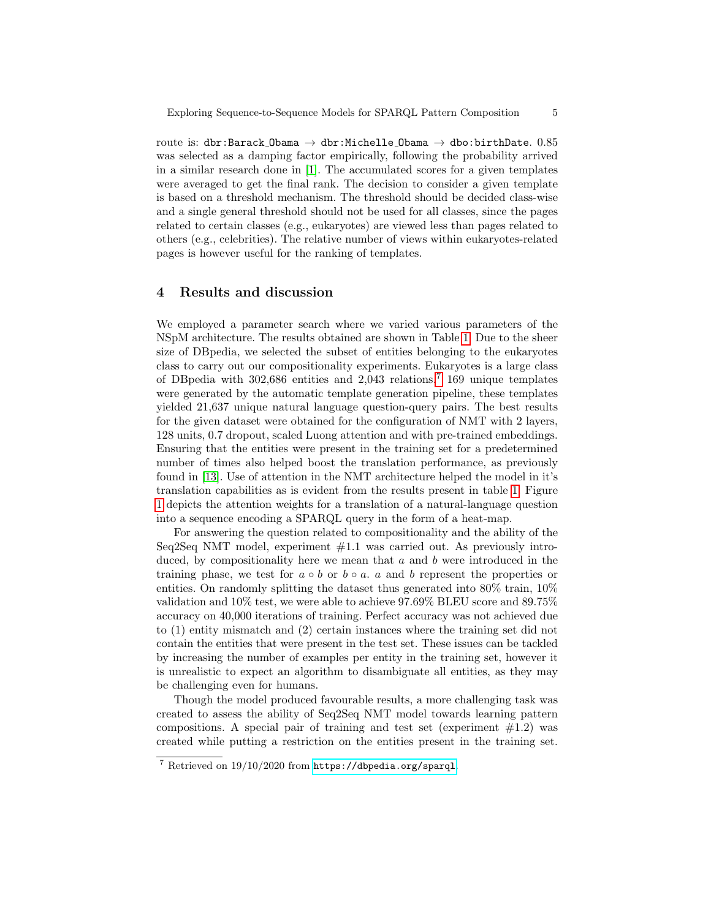route is: dbr:Barack\_Obama  $\rightarrow$  dbr:Michelle\_Obama  $\rightarrow$  dbo:birthDate. 0.85 was selected as a damping factor empirically, following the probability arrived in a similar research done in [\[1\]](#page-6-1). The accumulated scores for a given templates were averaged to get the final rank. The decision to consider a given template is based on a threshold mechanism. The threshold should be decided class-wise and a single general threshold should not be used for all classes, since the pages related to certain classes (e.g., eukaryotes) are viewed less than pages related to others (e.g., celebrities). The relative number of views within eukaryotes-related pages is however useful for the ranking of templates.

## 4 Results and discussion

We employed a parameter search where we varied various parameters of the NSpM architecture. The results obtained are shown in Table [1.](#page-5-0) Due to the sheer size of DBpedia, we selected the subset of entities belonging to the eukaryotes class to carry out our compositionality experiments. Eukaryotes is a large class of DBpedia with 302,686 entities and 2,043 relations.[7](#page-4-0) 169 unique templates were generated by the automatic template generation pipeline, these templates yielded 21,637 unique natural language question-query pairs. The best results for the given dataset were obtained for the configuration of NMT with 2 layers, 128 units, 0.7 dropout, scaled Luong attention and with pre-trained embeddings. Ensuring that the entities were present in the training set for a predetermined number of times also helped boost the translation performance, as previously found in [\[13\]](#page-7-1). Use of attention in the NMT architecture helped the model in it's translation capabilities as is evident from the results present in table [1.](#page-5-0) Figure [1](#page-3-1) depicts the attention weights for a translation of a natural-language question into a sequence encoding a SPARQL query in the form of a heat-map.

For answering the question related to compositionality and the ability of the Seq2Seq NMT model, experiment #1.1 was carried out. As previously introduced, by compositionality here we mean that  $a$  and  $b$  were introduced in the training phase, we test for  $a \circ b$  or  $b \circ a$ . a and b represent the properties or entities. On randomly splitting the dataset thus generated into 80% train, 10% validation and 10% test, we were able to achieve 97.69% BLEU score and 89.75% accuracy on 40,000 iterations of training. Perfect accuracy was not achieved due to (1) entity mismatch and (2) certain instances where the training set did not contain the entities that were present in the test set. These issues can be tackled by increasing the number of examples per entity in the training set, however it is unrealistic to expect an algorithm to disambiguate all entities, as they may be challenging even for humans.

Though the model produced favourable results, a more challenging task was created to assess the ability of Seq2Seq NMT model towards learning pattern compositions. A special pair of training and test set (experiment  $\#1.2$ ) was created while putting a restriction on the entities present in the training set.

<span id="page-4-0"></span> $7$  Retrieved on  $19/10/2020$  from <https://dbpedia.org/sparql>.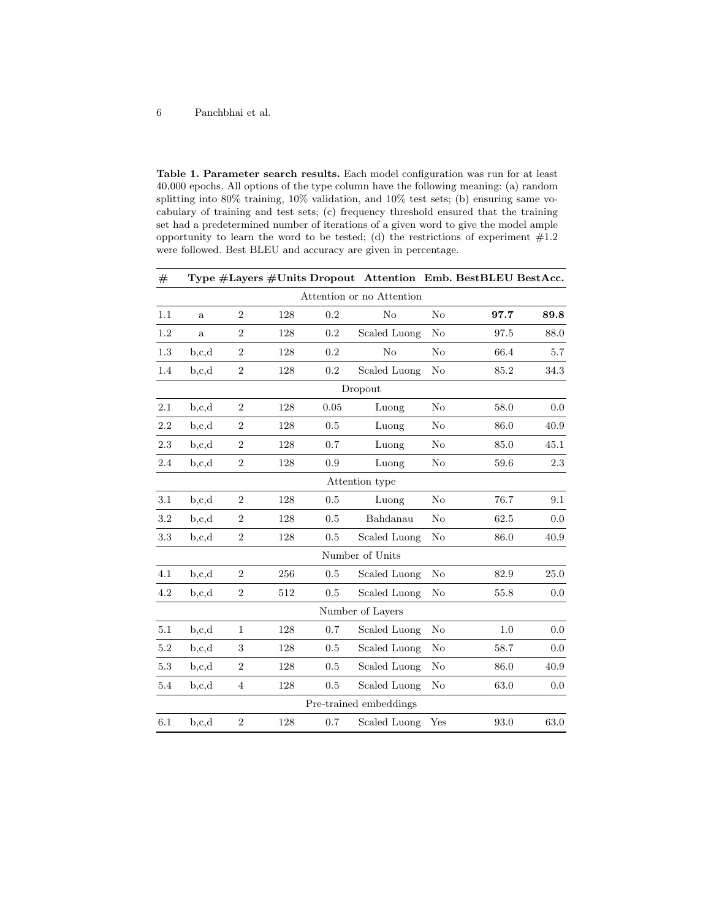# 6 Panchbhai et al.

<span id="page-5-0"></span>Table 1. Parameter search results. Each model configuration was run for at least 40,000 epochs. All options of the type column have the following meaning: (a) random splitting into 80% training, 10% validation, and 10% test sets; (b) ensuring same vocabulary of training and test sets; (c) frequency threshold ensured that the training set had a predetermined number of iterations of a given word to give the model ample opportunity to learn the word to be tested; (d) the restrictions of experiment  $#1.2$ were followed. Best BLEU and accuracy are given in percentage.

| $^{\#}$ |                |                |         |           | Type #Layers #Units Dropout Attention Emb. BestBLEU BestAcc. |          |      |         |
|---------|----------------|----------------|---------|-----------|--------------------------------------------------------------|----------|------|---------|
|         |                |                |         |           | Attention or no Attention                                    |          |      |         |
| 1.1     | $\mathbf{a}$   | $\overline{2}$ | 128     | $\rm 0.2$ | N <sub>o</sub>                                               | No       | 97.7 | 89.8    |
| $1.2\,$ | $\rm{a}$       | $\overline{2}$ | 128     | $\rm 0.2$ | Scaled Luong                                                 | No       | 97.5 | 88.0    |
| 1.3     | $_{\rm b,c,d}$ | $\overline{2}$ | 128     | $\rm 0.2$ | No                                                           | No       | 66.4 | 5.7     |
| 1.4     | $_{\rm b,c,d}$ | $\overline{2}$ | $128\,$ | $\rm 0.2$ | Scaled Luong                                                 | No       | 85.2 | 34.3    |
|         |                |                |         |           | Dropout                                                      |          |      |         |
| 2.1     | $_{\rm b,c,d}$ | $\overline{2}$ | 128     | 0.05      | Luong                                                        | No       | 58.0 | 0.0     |
| 2.2     | $_{\rm b,c,d}$ | $\overline{2}$ | 128     | 0.5       | Luong                                                        | No       | 86.0 | 40.9    |
| $2.3\,$ | $_{\rm b,c,d}$ | $\overline{2}$ | 128     | 0.7       | Luong                                                        | No       | 85.0 | 45.1    |
| 2.4     | $_{\rm b,c,d}$ | $\overline{2}$ | 128     | 0.9       | Luong                                                        | No       | 59.6 | $2.3\,$ |
|         |                |                |         |           | Attention type                                               |          |      |         |
| 3.1     | $_{\rm b,c,d}$ | $\overline{2}$ | 128     | 0.5       | Luong                                                        | No       | 76.7 | 9.1     |
| $3.2\,$ | $_{\rm b,c,d}$ | $\overline{2}$ | 128     | $0.5\,$   | Bahdanau                                                     | No       | 62.5 | 0.0     |
| $3.3\,$ | $_{\rm b,c,d}$ | $\overline{2}$ | 128     | 0.5       | Scaled Luong                                                 | No       | 86.0 | 40.9    |
|         |                |                |         |           | Number of Units                                              |          |      |         |
| 4.1     | $_{\rm b,c,d}$ | $\overline{2}$ | 256     | 0.5       | Scaled Luong                                                 | No       | 82.9 | 25.0    |
| 4.2     | $_{\rm b,c,d}$ | $\overline{2}$ | 512     | 0.5       | Scaled Luong                                                 | No       | 55.8 | 0.0     |
|         |                |                |         |           | Number of Layers                                             |          |      |         |
| 5.1     | $_{\rm b,c,d}$ | $\mathbf{1}$   | 128     | 0.7       | Scaled Luong                                                 | $\rm No$ | 1.0  | 0.0     |
| 5.2     | $_{\rm b,c,d}$ | 3              | 128     | 0.5       | Scaled Luong                                                 | No       | 58.7 | 0.0     |
| $5.3\,$ | $_{\rm b,c,d}$ | $\overline{2}$ | 128     | 0.5       | Scaled Luong                                                 | No       | 86.0 | 40.9    |
| $5.4\,$ | $_{\rm b,c,d}$ | $\overline{4}$ | 128     | 0.5       | Scaled Luong                                                 | No       | 63.0 | 0.0     |
|         |                |                |         |           | Pre-trained embeddings                                       |          |      |         |
| 6.1     | $_{\rm b,c,d}$ | $\overline{2}$ | 128     | 0.7       | Scaled Luong                                                 | Yes      | 93.0 | 63.0    |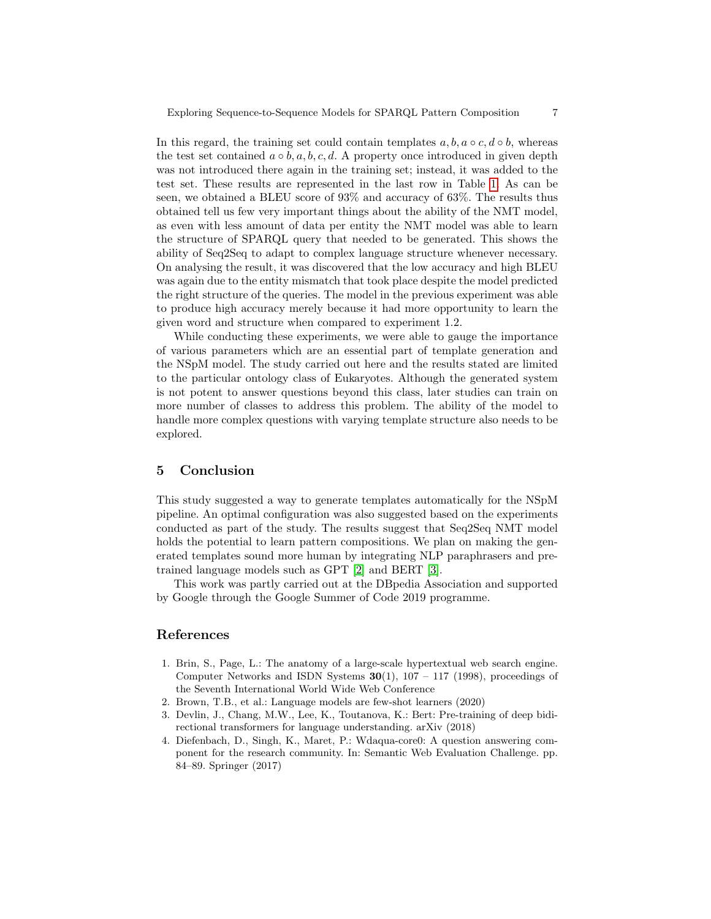In this regard, the training set could contain templates  $a, b, a \circ c, d \circ b$ , whereas the test set contained  $a \circ b, a, b, c, d$ . A property once introduced in given depth was not introduced there again in the training set; instead, it was added to the test set. These results are represented in the last row in Table [1.](#page-5-0) As can be seen, we obtained a BLEU score of 93% and accuracy of 63%. The results thus obtained tell us few very important things about the ability of the NMT model, as even with less amount of data per entity the NMT model was able to learn the structure of SPARQL query that needed to be generated. This shows the ability of Seq2Seq to adapt to complex language structure whenever necessary. On analysing the result, it was discovered that the low accuracy and high BLEU was again due to the entity mismatch that took place despite the model predicted the right structure of the queries. The model in the previous experiment was able to produce high accuracy merely because it had more opportunity to learn the given word and structure when compared to experiment 1.2.

While conducting these experiments, we were able to gauge the importance of various parameters which are an essential part of template generation and the NSpM model. The study carried out here and the results stated are limited to the particular ontology class of Eukaryotes. Although the generated system is not potent to answer questions beyond this class, later studies can train on more number of classes to address this problem. The ability of the model to handle more complex questions with varying template structure also needs to be explored.

# 5 Conclusion

This study suggested a way to generate templates automatically for the NSpM pipeline. An optimal configuration was also suggested based on the experiments conducted as part of the study. The results suggest that Seq2Seq NMT model holds the potential to learn pattern compositions. We plan on making the generated templates sound more human by integrating NLP paraphrasers and pretrained language models such as GPT [\[2\]](#page-6-2) and BERT [\[3\]](#page-6-3).

This work was partly carried out at the DBpedia Association and supported by Google through the Google Summer of Code 2019 programme.

## References

- <span id="page-6-1"></span>1. Brin, S., Page, L.: The anatomy of a large-scale hypertextual web search engine. Computer Networks and ISDN Systems  $30(1)$ ,  $107 - 117$  (1998), proceedings of the Seventh International World Wide Web Conference
- <span id="page-6-2"></span>2. Brown, T.B., et al.: Language models are few-shot learners (2020)
- <span id="page-6-3"></span>3. Devlin, J., Chang, M.W., Lee, K., Toutanova, K.: Bert: Pre-training of deep bidirectional transformers for language understanding. arXiv (2018)
- <span id="page-6-0"></span>4. Diefenbach, D., Singh, K., Maret, P.: Wdaqua-core0: A question answering component for the research community. In: Semantic Web Evaluation Challenge. pp. 84–89. Springer (2017)